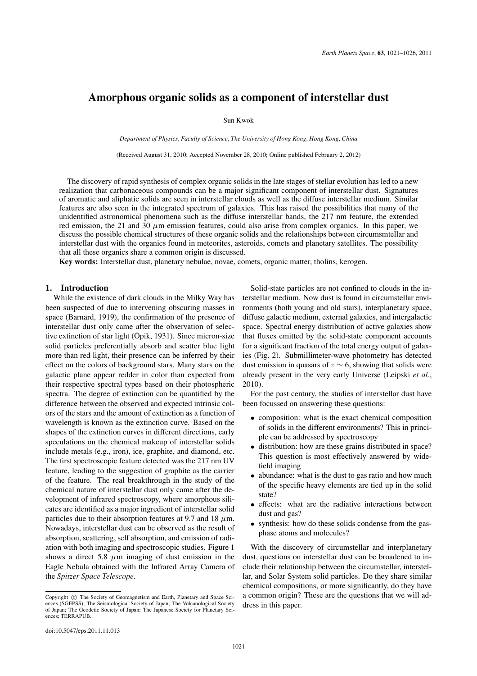# **Amorphous organic solids as a component of interstellar dust**

Sun Kwok

*Department of Physics, Faculty of Science, The University of Hong Kong, Hong Kong, China*

(Received August 31, 2010; Accepted November 28, 2010; Online published February 2, 2012)

The discovery of rapid synthesis of complex organic solids in the late stages of stellar evolution has led to a new realization that carbonaceous compounds can be a major significant component of interstellar dust. Signatures of aromatic and aliphatic solids are seen in interstellar clouds as well as the diffuse interstellar medium. Similar features are also seen in the integrated spectrum of galaxies. This has raised the possibilities that many of the unidentified astronomical phenomena such as the diffuse interstellar bands, the 217 nm feature, the extended red emission, the 21 and 30  $\mu$ m emission features, could also arise from complex organics. In this paper, we discuss the possible chemical structures of these organic solids and the relationships between circumsmtellar and interstellar dust with the organics found in meteorites, asteroids, comets and planetary satellites. The possibility that all these organics share a common origin is discussed.

**Key words:** Interstellar dust, planetary nebulae, novae, comets, organic matter, tholins, kerogen.

### **1. Introduction**

While the existence of dark clouds in the Milky Way has been suspected of due to intervening obscuring masses in space (Barnard, 1919), the confirmation of the presence of interstellar dust only came after the observation of selective extinction of star light (Öpik, 1931). Since micron-size solid particles preferentially absorb and scatter blue light more than red light, their presence can be inferred by their effect on the colors of background stars. Many stars on the galactic plane appear redder in color than expected from their respective spectral types based on their photospheric spectra. The degree of extinction can be quantified by the difference between the observed and expected intrinsic colors of the stars and the amount of extinction as a function of wavelength is known as the extinction curve. Based on the shapes of the extinction curves in different directions, early speculations on the chemical makeup of interstellar solids include metals (e.g., iron), ice, graphite, and diamond, etc. The first spectroscopic feature detected was the 217 nm UV feature, leading to the suggestion of graphite as the carrier of the feature. The real breakthrough in the study of the chemical nature of interstellar dust only came after the development of infrared spectroscopy, where amorphous silicates are identified as a major ingredient of interstellar solid particles due to their absorption features at 9.7 and 18  $\mu$ m. Nowadays, interstellar dust can be observed as the result of absorption, scattering, self absorption, and emission of radiation with both imaging and spectroscopic studies. Figure 1 shows a direct 5.8  $\mu$ m imaging of dust emission in the Eagle Nebula obtained with the Infrared Array Camera of the *Spitzer Space Telescope*.

Solid-state particles are not confined to clouds in the interstellar medium. Now dust is found in circumstellar environments (both young and old stars), interplanetary space, diffuse galactic medium, external galaxies, and intergalactic space. Spectral energy distribution of active galaxies show that fluxes emitted by the solid-state component accounts for a significant fraction of the total energy output of galaxies (Fig. 2). Submillimeter-wave photometry has detected dust emission in quasars of  $z \sim 6$ , showing that solids were already present in the very early Universe (Leipski *et al.*, 2010).

For the past century, the studies of interstellar dust have been focussed on answering these questions:

- composition: what is the exact chemical composition of solids in the different environments? This in principle can be addressed by spectroscopy
- distribution: how are these grains distributed in space? This question is most effectively answered by widefield imaging
- abundance: what is the dust to gas ratio and how much of the specific heavy elements are tied up in the solid state?
- effects: what are the radiative interactions between dust and gas?
- synthesis: how do these solids condense from the gasphase atoms and molecules?

With the discovery of circumstellar and interplanetary dust, questions on interstellar dust can be broadened to include their relationship between the circumstellar, interstellar, and Solar System solid particles. Do they share similar chemical compositions, or more significantly, do they have a common origin? These are the questions that we will address in this paper.

Copyright  $\odot$  The Society of Geomagnetism and Earth, Planetary and Space Sciences (SGEPSS); The Seismological Society of Japan; The Volcanological Society of Japan; The Geodetic Society of Japan; The Japanese Society for Planetary Sciences; TERRAPUB.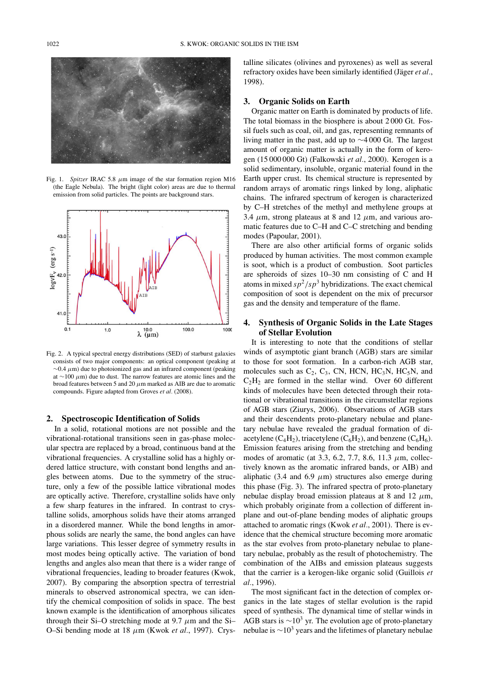

Fig. 1. *Spitzer* IRAC 5.8 μm image of the star formation region M16 (the Eagle Nebula). The bright (light color) areas are due to thermal emission from solid particles. The points are background stars.



Fig. 2. A typical spectral energy distributions (SED) of starburst galaxies consists of two major components: an optical component (peaking at  $\sim$ 0.4  $\mu$ m) due to photoionized gas and an infrared component (peaking at ~100  $\mu$ m) due to dust. The narrow features are atomic lines and the broad features between 5 and 20  $\mu$ m marked as AIB are due to aromatic compounds. Figure adapted from Groves *et al.* (2008).

## **2. Spectroscopic Identification of Solids**

In a solid, rotational motions are not possible and the vibrational-rotational transitions seen in gas-phase molecular spectra are replaced by a broad, continuous band at the vibrational frequencies. A crystalline solid has a highly ordered lattice structure, with constant bond lengths and angles between atoms. Due to the symmetry of the structure, only a few of the possible lattice vibrational modes are optically active. Therefore, crystalline solids have only a few sharp features in the infrared. In contrast to crystalline solids, amorphous solids have their atoms arranged in a disordered manner. While the bond lengths in amorphous solids are nearly the same, the bond angles can have large variations. This lesser degree of symmetry results in most modes being optically active. The variation of bond lengths and angles also mean that there is a wider range of vibrational frequencies, leading to broader features (Kwok, 2007). By comparing the absorption spectra of terrestrial minerals to observed astronomical spectra, we can identify the chemical composition of solids in space. The best known example is the identification of amorphous silicates through their Si–O stretching mode at 9.7  $\mu$ m and the Si– O–Si bending mode at 18 μm (Kwok *et al.*, 1997). Crystalline silicates (olivines and pyroxenes) as well as several refractory oxides have been similarly identified (Jäger et al., 1998).

# **3. Organic Solids on Earth**

Organic matter on Earth is dominated by products of life. The total biomass in the biosphere is about 2 000 Gt. Fossil fuels such as coal, oil, and gas, representing remnants of living matter in the past, add up to ∼4 000 Gt. The largest amount of organic matter is actually in the form of kerogen (15 000 000 Gt) (Falkowski *et al.*, 2000). Kerogen is a solid sedimentary, insoluble, organic material found in the Earth upper crust. Its chemical structure is represented by random arrays of aromatic rings linked by long, aliphatic chains. The infrared spectrum of kerogen is characterized by C–H stretches of the methyl and methylene groups at 3.4  $\mu$ m, strong plateaus at 8 and 12  $\mu$ m, and various aromatic features due to C–H and C–C stretching and bending modes (Papoular, 2001).

There are also other artificial forms of organic solids produced by human activities. The most common example is soot, which is a product of combustion. Soot particles are spheroids of sizes 10–30 nm consisting of C and H atoms in mixed  $sp^2/sp^3$  hybridizations. The exact chemical composition of soot is dependent on the mix of precursor gas and the density and temperature of the flame.

# **4. Synthesis of Organic Solids in the Late Stages of Stellar Evolution**

It is interesting to note that the conditions of stellar winds of asymptotic giant branch (AGB) stars are similar to those for soot formation. In a carbon-rich AGB star, molecules such as  $C_2$ ,  $C_3$ , CN, HCN, HC<sub>3</sub>N, HC<sub>5</sub>N, and  $C_2H_2$  are formed in the stellar wind. Over 60 different kinds of molecules have been detected through their rotational or vibrational transitions in the circumstellar regions of AGB stars (Ziurys, 2006). Observations of AGB stars and their descendents proto-planetary nebulae and planetary nebulae have revealed the gradual formation of diacetylene ( $C_4H_2$ ), triacetylene ( $C_6H_2$ ), and benzene ( $C_6H_6$ ). Emission features arising from the stretching and bending modes of aromatic (at 3.3, 6.2, 7.7, 8.6, 11.3  $\mu$ m, collectively known as the aromatic infrared bands, or AIB) and aliphatic (3.4 and 6.9  $\mu$ m) structures also emerge during this phase (Fig. 3). The infrared spectra of proto-planetary nebulae display broad emission plateaus at 8 and 12  $\mu$ m, which probably originate from a collection of different inplane and out-of-plane bending modes of aliphatic groups attached to aromatic rings (Kwok *et al.*, 2001). There is evidence that the chemical structure becoming more aromatic as the star evolves from proto-planetary nebulae to planetary nebulae, probably as the result of photochemistry. The combination of the AIBs and emission plateaus suggests that the carrier is a kerogen-like organic solid (Guillois *et al.*, 1996).

The most significant fact in the detection of complex organics in the late stages of stellar evolution is the rapid speed of synthesis. The dynamical time of stellar winds in AGB stars is  $\sim$ 10<sup>3</sup> yr. The evolution age of proto-planetary nebulae is  $\sim$ 10<sup>3</sup> years and the lifetimes of planetary nebulae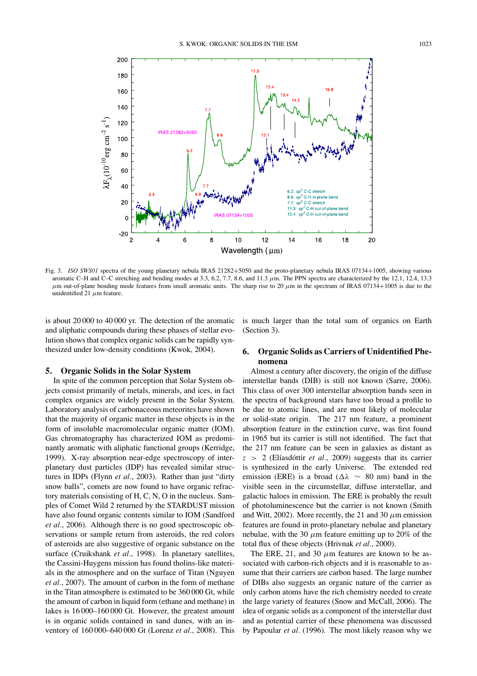

Fig. 3. *ISO SWS01* spectra of the young planetary nebula IRAS 21282+5050 and the proto-planetary nebula IRAS 07134+1005, showing various aromatic C–H and C–C stretching and bending modes at 3.3, 6.2, 7.7, 8.6, and 11.3  $\mu$ m. The PPN spectra are characterized by the 12.1, 12.4, 13.3  $\mu$ m out-of-plane bending mode features from small aromatic units. The sharp rise to 20  $\mu$ m in the spectrum of IRAS 07134+1005 is due to the unidentified 21  $\mu$ m feature.

is about 20 000 to 40 000 yr. The detection of the aromatic and aliphatic compounds during these phases of stellar evolution shows that complex organic solids can be rapidly synthesized under low-density conditions (Kwok, 2004).

#### **5. Organic Solids in the Solar System**

In spite of the common perception that Solar System objects consist primarily of metals, minerals, and ices, in fact complex organics are widely present in the Solar System. Laboratory analysis of carbonaceous meteorites have shown that the majority of organic matter in these objects is in the form of insoluble macromolecular organic matter (IOM). Gas chromatography has characterized IOM as predominantly aromatic with aliphatic functional groups (Kerridge, 1999). X-ray absorption near-edge spectroscopy of interplanetary dust particles (IDP) has revealed similar structures in IDPs (Flynn *et al.*, 2003). Rather than just "dirty snow balls", comets are now found to have organic refractory materials consisting of H, C, N, O in the nucleus. Samples of Comet Wild 2 returned by the STARDUST mission have also found organic contents similar to IOM (Sandford *et al.*, 2006). Although there is no good spectroscopic observations or sample return from asteroids, the red colors of asteroids are also suggestive of organic substance on the surface (Cruikshank *et al.*, 1998). In planetary satellites, the Cassini-Huygens mission has found tholins-like materials in the atmosphere and on the surface of Titan (Nguyen *et al.*, 2007). The amount of carbon in the form of methane in the Titan atmosphere is estimated to be 360 000 Gt, while the amount of carbon in liquid form (ethane and methane) in lakes is 16 000–160 000 Gt. However, the greatest amount is in organic solids contained in sand dunes, with an inventory of 160 000–640 000 Gt (Lorenz *et al.*, 2008). This is much larger than the total sum of organics on Earth (Section 3).

# **6. Organic Solids as Carriers of Unidentified Phenomena**

Almost a century after discovery, the origin of the diffuse interstellar bands (DIB) is still not known (Sarre, 2006). This class of over 300 interstellar absorption bands seen in the spectra of background stars have too broad a profile to be due to atomic lines, and are most likely of molecular or solid-state origin. The 217 nm feature, a prominent absorption feature in the extinction curve, was first found in 1965 but its carrier is still not identified. The fact that the 217 nm feature can be seen in galaxies as distant as  $z > 2$  (Elíasdóttir *et al.*, 2009) suggests that its carrier is synthesized in the early Universe. The extended red emission (ERE) is a broad ( $\Delta\lambda \sim 80$  nm) band in the visible seen in the circumstellar, diffuse interstellar, and galactic haloes in emission. The ERE is probably the result of photoluminescence but the carrier is not known (Smith and Witt, 2002). More recently, the 21 and 30  $\mu$ m emission features are found in proto-planetary nebulae and planetary nebulae, with the 30  $\mu$ m feature emitting up to 20% of the total flux of these objects (Hrivnak *et al.*, 2000).

The ERE, 21, and 30  $\mu$ m features are known to be associated with carbon-rich objects and it is reasonable to assume that their carriers are carbon based. The large number of DIBs also suggests an organic nature of the carrier as only carbon atoms have the rich chemistry needed to create the large variety of features (Snow and McCall, 2006). The idea of organic solids as a component of the interstellar dust and as potential carrier of these phenomena was discussed by Papoular *et al.* (1996). The most likely reason why we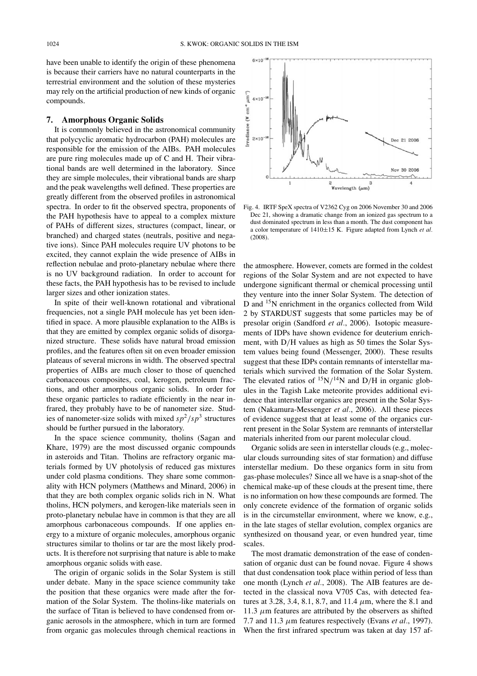have been unable to identify the origin of these phenomena is because their carriers have no natural counterparts in the terrestrial environment and the solution of these mysteries may rely on the artificial production of new kinds of organic compounds.

# **7. Amorphous Organic Solids**

It is commonly believed in the astronomical community that polycyclic aromatic hydrocarbon (PAH) molecules are responsible for the emission of the AIBs. PAH molecules are pure ring molecules made up of C and H. Their vibrational bands are well determined in the laboratory. Since they are simple molecules, their vibrational bands are sharp and the peak wavelengths well defined. These properties are greatly different from the observed profiles in astronomical spectra. In order to fit the observed spectra, proponents of the PAH hypothesis have to appeal to a complex mixture of PAHs of different sizes, structures (compact, linear, or branched) and charged states (neutrals, positive and negative ions). Since PAH molecules require UV photons to be excited, they cannot explain the wide presence of AIBs in reflection nebulae and proto-planetary nebulae where there is no UV background radiation. In order to account for these facts, the PAH hypothesis has to be revised to include larger sizes and other ionization states.

In spite of their well-known rotational and vibrational frequencies, not a single PAH molecule has yet been identified in space. A more plausible explanation to the AIBs is that they are emitted by complex organic solids of disorganized structure. These solids have natural broad emission profiles, and the features often sit on even broader emission plateaus of several microns in width. The observed spectral properties of AIBs are much closer to those of quenched carbonaceous composites, coal, kerogen, petroleum fractions, and other amorphous organic solids. In order for these organic particles to radiate efficiently in the near infrared, they probably have to be of nanometer size. Studies of nanometer-size solids with mixed  $s p^2 / s p^3$  structures should be further pursued in the laboratory.

In the space science community, tholins (Sagan and Khare, 1979) are the most discussed organic compounds in asteroids and Titan. Tholins are refractory organic materials formed by UV photolysis of reduced gas mixtures under cold plasma conditions. They share some commonality with HCN polymers (Matthews and Minard, 2006) in that they are both complex organic solids rich in N. What tholins, HCN polymers, and kerogen-like materials seen in proto-planetary nebulae have in common is that they are all amorphous carbonaceous compounds. If one applies energy to a mixture of organic molecules, amorphous organic structures similar to tholins or tar are the most likely products. It is therefore not surprising that nature is able to make amorphous organic solids with ease.

The origin of organic solids in the Solar System is still under debate. Many in the space science community take the position that these organics were made after the formation of the Solar System. The tholins-like materials on the surface of Titan is believed to have condensed from organic aerosols in the atmosphere, which in turn are formed from organic gas molecules through chemical reactions in



Fig. 4. IRTF SpeX spectra of V2362 Cyg on 2006 November 30 and 2006 Dec 21, showing a dramatic change from an ionized gas spectrum to a dust dominated spectrum in less than a month. The dust component has a color temperature of 1410±15 K. Figure adapted from Lynch *et al.* (2008).

the atmosphere. However, comets are formed in the coldest regions of the Solar System and are not expected to have undergone significant thermal or chemical processing until they venture into the inner Solar System. The detection of D and <sup>15</sup>N enrichment in the organics collected from Wild 2 by STARDUST suggests that some particles may be of presolar origin (Sandford *et al.*, 2006). Isotopic measurements of IDPs have shown evidence for deuterium enrichment, with D/H values as high as 50 times the Solar System values being found (Messenger, 2000). These results suggest that these IDPs contain remnants of interstellar materials which survived the formation of the Solar System. The elevated ratios of  $^{15}N/^{14}N$  and D/H in organic globules in the Tagish Lake meteorite provides additional evidence that interstellar organics are present in the Solar System (Nakamura-Messenger *et al.*, 2006). All these pieces of evidence suggest that at least some of the organics current present in the Solar System are remnants of interstellar materials inherited from our parent molecular cloud.

Organic solids are seen in interstellar clouds (e.g., molecular clouds surrounding sites of star formation) and diffuse interstellar medium. Do these organics form in situ from gas-phase molecules? Since all we have is a snap-shot of the chemical make-up of these clouds at the present time, there is no information on how these compounds are formed. The only concrete evidence of the formation of organic solids is in the circumstellar environment, where we know, e.g., in the late stages of stellar evolution, complex organics are synthesized on thousand year, or even hundred year, time scales.

The most dramatic demonstration of the ease of condensation of organic dust can be found novae. Figure 4 shows that dust condensation took place within period of less than one month (Lynch *et al.*, 2008). The AIB features are detected in the classical nova V705 Cas, with detected features at 3.28, 3.4, 8.1, 8.7, and 11.4  $\mu$ m, where the 8.1 and 11.3  $\mu$ m features are attributed by the observers as shifted 7.7 and 11.3  $\mu$ m features respectively (Evans *et al.*, 1997). When the first infrared spectrum was taken at day 157 af-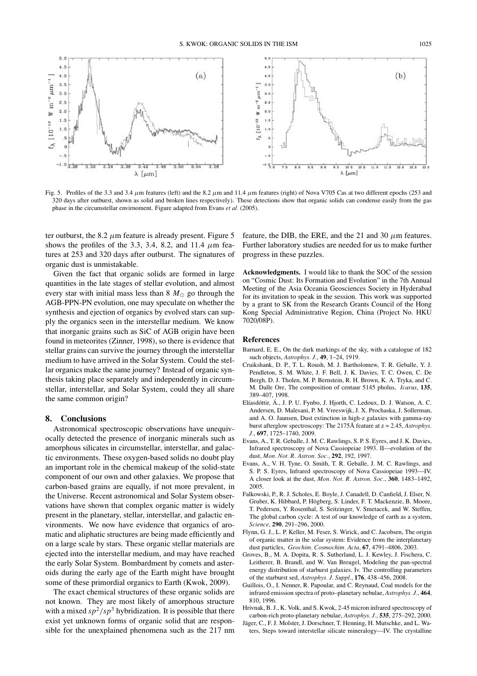

Fig. 5. Profiles of the 3.3 and 3.4  $\mu$ m features (left) and the 8.2  $\mu$ m and 11.4  $\mu$ m features (right) of Nova V705 Cas at two different epochs (253 and 320 days after outburst, shown as solid and broken lines respectively). These detections show that organic solids can condense easily from the gas phase in the circumstellar envirnoment. Figure adapted from Evans *et al.* (2005).

ter outburst, the 8.2  $\mu$ m feature is already present. Figure 5 shows the profiles of the 3.3, 3.4, 8.2, and 11.4  $\mu$ m features at 253 and 320 days after outburst. The signatures of organic dust is unmistakable.

Given the fact that organic solids are formed in large quantities in the late stages of stellar evolution, and almost every star with initial mass less than  $8 M_{\odot}$  go through the AGB-PPN-PN evolution, one may speculate on whether the synthesis and ejection of organics by evolved stars can supply the organics seen in the interstellar medium. We know that inorganic grains such as SiC of AGB origin have been found in meteorites (Zinner, 1998), so there is evidence that stellar grains can survive the journey through the interstellar medium to have arrived in the Solar System. Could the stellar organics make the same journey? Instead of organic synthesis taking place separately and independently in circumstellar, interstellar, and Solar System, could they all share the same common origin?

## **8. Conclusions**

Astronomical spectroscopic observations have unequivocally detected the presence of inorganic minerals such as amorphous silicates in circumstellar, interstellar, and galactic environments. These oxygen-based solids no doubt play an important role in the chemical makeup of the solid-state component of our own and other galaxies. We propose that carbon-based grains are equally, if not more prevalent, in the Universe. Recent astronomical and Solar System observations have shown that complex organic matter is widely present in the planetary, stellar, interstellar, and galactic environments. We now have evidence that organics of aromatic and aliphatic structures are being made efficiently and on a large scale by stars. These organic stellar materials are ejected into the interstellar medium, and may have reached the early Solar System. Bombardment by comets and asteroids during the early age of the Earth might have brought some of these primordial organics to Earth (Kwok, 2009).

The exact chemical structures of these organic solids are not known. They are most likely of amorphous structure with a mixed  $s p^2 / s p^3$  hybridization. It is possible that there exist yet unknown forms of organic solid that are responsible for the unexplained phenomena such as the 217 nm feature, the DIB, the ERE, and the 21 and 30  $\mu$ m features. Further laboratory studies are needed for us to make further progress in these puzzles.

**Acknowledgments.** I would like to thank the SOC of the session on "Cosmic Dust: Its Formation and Evolution" in the 7th Annual Meeting of the Asia Oceania Geosciences Society in Hyderabad for its invitation to speak in the session. This work was supported by a grant to SK from the Research Grants Council of the Hong Kong Special Administrative Region, China (Project No. HKU 7020/08P).

#### **References**

- Barnard, E. E., On the dark markings of the sky, with a catalogue of 182 such objects, *Astrophys. J.*, **49**, 1–24, 1919.
- Cruikshank, D. P., T. L. Roush, M. J. Bartholomew, T. R. Geballe, Y. J. Pendleton, S. M. White, J. F. Bell, J. K. Davies, T. C. Owen, C. De Bergh, D. J. Tholen, M. P. Bernstein, R. H. Brown, K. A. Tryka, and C. M. Dalle Ore, The composition of centaur 5145 pholus, *Icarus*, **135**, 389–407, 1998.
- Elíasdóttir, Á., J. P. U. Fynbo, J. Hjorth, C. Ledoux, D. J. Watson, A. C. Andersen, D. Malesani, P. M. Vreeswijk, J. X. Prochaska, J. Sollerman, and A. O. Jaunsen, Dust extinction in high-z galaxies with gamma-ray burst afterglow spectroscopy: The 2175Å feature at  $z = 2.45$ , Astrophys. *J.*, **697**, 1725–1740, 2009.
- Evans, A., T. R. Geballe, J. M. C. Rawlings, S. P. S. Eyres, and J. K. Davies, Infrared spectroscopy of Nova Cassiopeiae 1993. II—evolution of the dust, *Mon. Not. R. Astron. Soc.*, **292**, 192, 1997.
- Evans, A., V. H. Tyne, O. Smith, T. R. Geballe, J. M. C. Rawlings, and S. P. S. Eyres, Infrared spectroscopy of Nova Cassiopeiae 1993—IV. A closer look at the dust, *Mon. Not. R. Astron. Soc.*, **360**, 1483–1492, 2005.
- Falkowski, P., R. J. Scholes, E. Boyle, J. Canadell, D. Canfield, J. Elser, N. Gruber, K. Hibbard, P. Hogberg, S. Linder, F. T. Mackenzie, B. Moore, ¨ T. Pedersen, Y. Rosenthal, S. Seitzinger, V. Smetacek, and W. Steffen, The global carbon cycle: A test of our knowledge of earth as a system, *Science*, **290**, 291–296, 2000.
- Flynn, G. J., L. P. Keller, M. Feser, S. Wirick, and C. Jacobsen, The origin of organic matter in the solar system: Evidence from the interplanetary dust particles, *Geochim. Cosmochim. Acta*, **67**, 4791–4806, 2003.
- Groves, B., M. A. Dopita, R. S. Sutherland, L. J. Kewley, J. Fischera, C. Leitherer, B. Brandl, and W. Van Breugel, Modeling the pan-spectral energy distribution of starburst galaxies. Iv. The controlling parameters of the starburst sed, *Astrophys. J. Suppl.*, **176**, 438–456, 2008.
- Guillois, O., I. Nenner, R. Papoular, and C. Reynaud, Coal models for the infrared emission spectra of proto–planetary nebulae, *Astrophys. J.*, **464**, 810, 1996.
- Hrivnak, B. J., K. Volk, and S. Kwok, 2-45 micron infrared spectroscopy of carbon-rich proto-planetary nebulae, *Astrophys. J.*, **535**, 275–292, 2000.
- Jäger, C., F. J. Molster, J. Dorschner, T. Henning, H. Mutschke, and L. Waters, Steps toward interstellar silicate mineralogy—IV. The crystalline